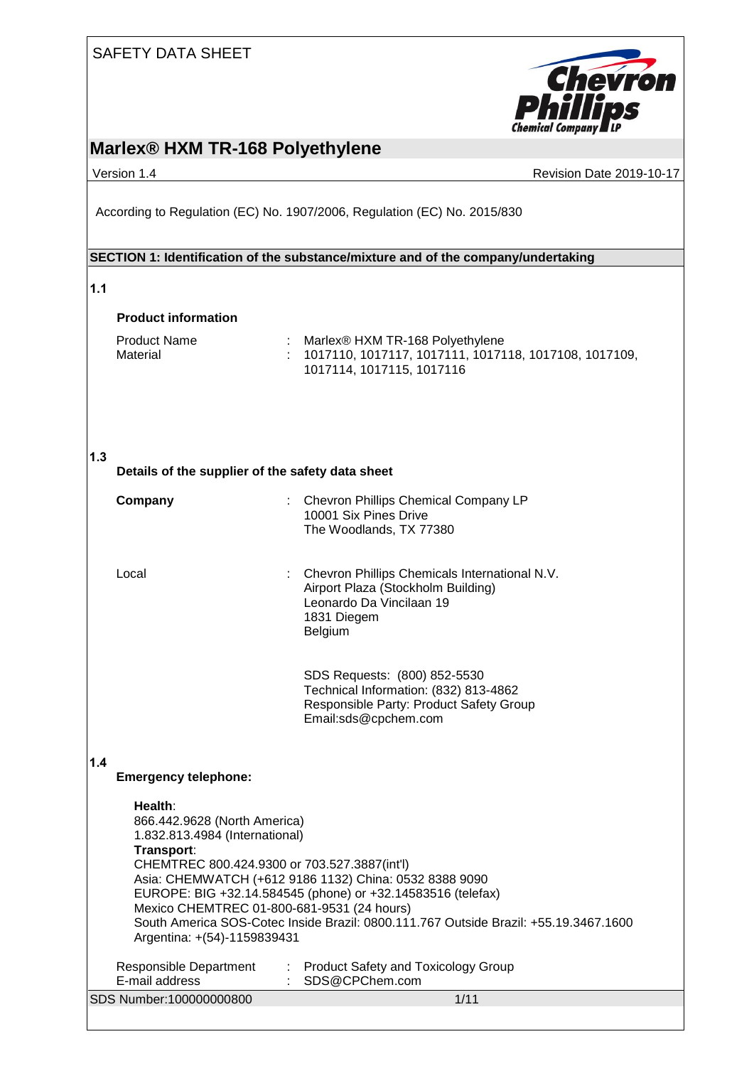

# **Marlex® HXM TR-168 Polyethylene**

Version 1.4 **Version 1.4** Revision Date 2019-10-17

According to Regulation (EC) No. 1907/2006, Regulation (EC) No. 2015/830

### **SECTION 1: Identification of the substance/mixture and of the company/undertaking**

### **1.1**

### **Product information**

| Product Name | Marlex® HXM TR-168 Polyethylene                                   |
|--------------|-------------------------------------------------------------------|
| Material     | $\pm$ 1017110, 1017117, 1017111, 1017118, 1017108, 1017109, $\pm$ |
|              | 1017114. 1017115. 1017116                                         |

### **1.3**

**Details of the supplier of the safety data sheet**

| Company | : Chevron Phillips Chemical Company LP<br>10001 Six Pines Drive<br>The Woodlands, TX 77380                                                         |
|---------|----------------------------------------------------------------------------------------------------------------------------------------------------|
| _ocal   | : Chevron Phillips Chemicals International N.V.<br>Airport Plaza (Stockholm Building)<br>Leonardo Da Vincilaan 19<br>1831 Diegem<br><b>Belgium</b> |

SDS Requests: (800) 852-5530 Technical Information: (832) 813-4862 Responsible Party: Product Safety Group Email:sds@cpchem.com

## **1.4**

**Emergency telephone:**

| Health:<br>866.442.9628 (North America)<br>1.832.813.4984 (International)<br>Transport:<br>CHEMTREC 800.424.9300 or 703.527.3887(int'l)<br>Mexico CHEMTREC 01-800-681-9531 (24 hours)<br>Argentina: +(54)-1159839431 | Asia: CHEMWATCH (+612 9186 1132) China: 0532 8388 9090<br>EUROPE: BIG +32.14.584545 (phone) or +32.14583516 (telefax)<br>South America SOS-Cotec Inside Brazil: 0800.111.767 Outside Brazil: +55.19.3467.1600 |
|----------------------------------------------------------------------------------------------------------------------------------------------------------------------------------------------------------------------|---------------------------------------------------------------------------------------------------------------------------------------------------------------------------------------------------------------|
| Responsible Department<br>E-mail address                                                                                                                                                                             | <b>Product Safety and Toxicology Group</b><br>÷.<br>SDS@CPChem.com                                                                                                                                            |
| SDS Number:100000000800                                                                                                                                                                                              | 1/11                                                                                                                                                                                                          |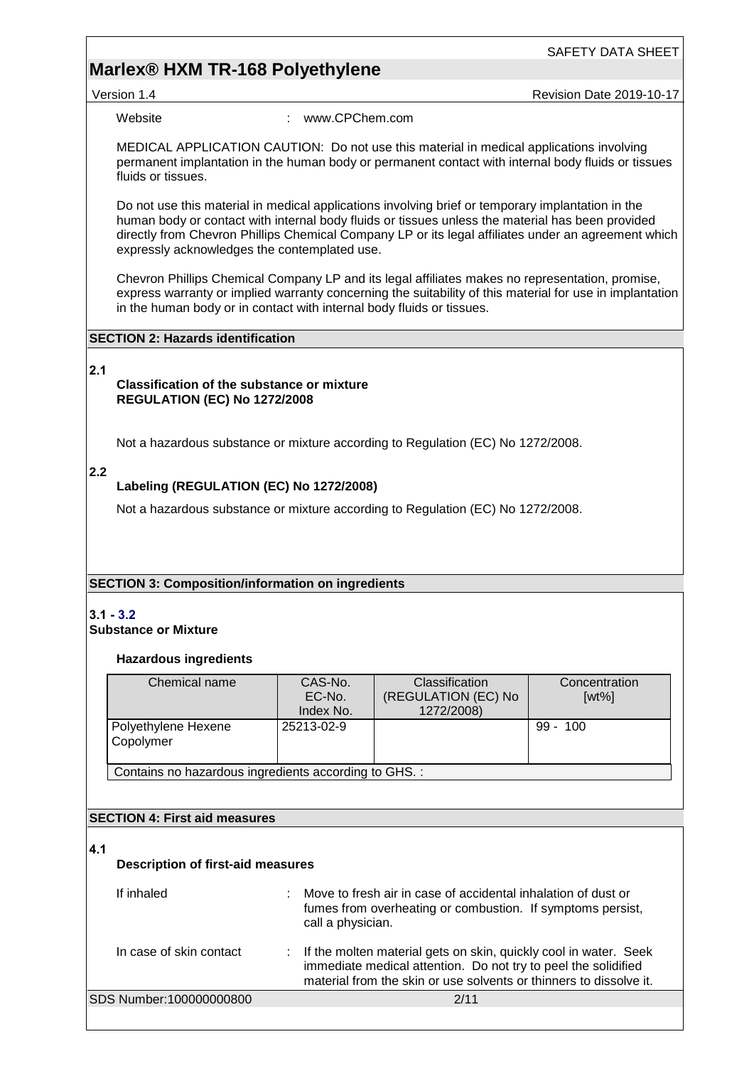## **Marlex® HXM TR-168 Polyethylene**

Version 1.4 **New Search 2019-10-17** Revision Date 2019-10-17

Website : www.CPChem.com

MEDICAL APPLICATION CAUTION: Do not use this material in medical applications involving permanent implantation in the human body or permanent contact with internal body fluids or tissues fluids or tissues.

Do not use this material in medical applications involving brief or temporary implantation in the human body or contact with internal body fluids or tissues unless the material has been provided directly from Chevron Phillips Chemical Company LP or its legal affiliates under an agreement which expressly acknowledges the contemplated use.

Chevron Phillips Chemical Company LP and its legal affiliates makes no representation, promise, express warranty or implied warranty concerning the suitability of this material for use in implantation in the human body or in contact with internal body fluids or tissues.

### **SECTION 2: Hazards identification**

### **2.1**

### **Classification of the substance or mixture REGULATION (EC) No 1272/2008**

Not a hazardous substance or mixture according to Regulation (EC) No 1272/2008.

### **2.2**

### **Labeling (REGULATION (EC) No 1272/2008)**

Not a hazardous substance or mixture according to Regulation (EC) No 1272/2008.

### **SECTION 3: Composition/information on ingredients**

# **3.1 - 3.2**

# **Substance or Mixture**

### **Hazardous ingredients**

| Chemical name                                         | CAS-No.<br>EC-No.<br>Index No. | <b>Classification</b><br>(REGULATION (EC) No<br>1272/2008) | Concentration<br>$[wt\%]$ |  |  |
|-------------------------------------------------------|--------------------------------|------------------------------------------------------------|---------------------------|--|--|
| Polyethylene Hexene<br>Copolymer                      | 25213-02-9                     |                                                            | $99 - 100$                |  |  |
| Contains no hazardous ingredients according to GHS. : |                                |                                                            |                           |  |  |

### **SECTION 4: First aid measures**

### **4.1**

### **Description of first-aid measures**

| If inhaled              | Move to fresh air in case of accidental inhalation of dust or<br>fumes from overheating or combustion. If symptoms persist,<br>call a physician.                                                           |
|-------------------------|------------------------------------------------------------------------------------------------------------------------------------------------------------------------------------------------------------|
| In case of skin contact | : If the molten material gets on skin, quickly cool in water. Seek<br>immediate medical attention. Do not try to peel the solidified<br>material from the skin or use solvents or thinners to dissolve it. |
| SDS Number:100000000800 | 2/11                                                                                                                                                                                                       |
|                         |                                                                                                                                                                                                            |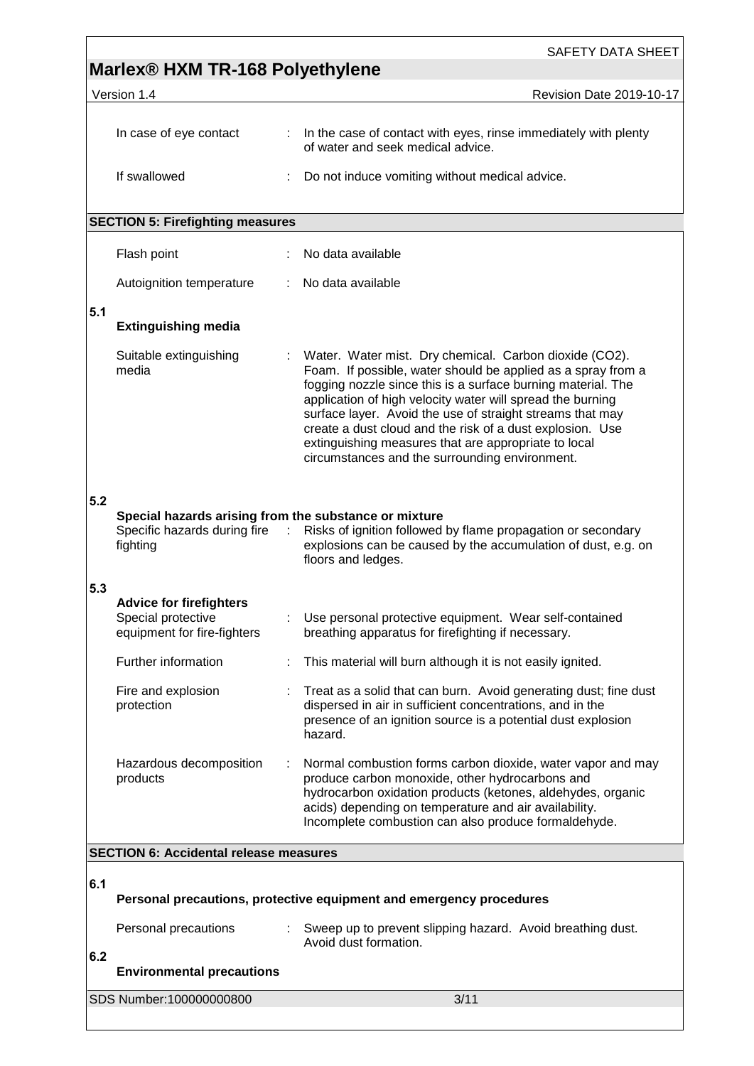|     | Marlex <sup>®</sup> HXM TR-168 Polyethylene                                                       |        | <b>SAFETY DATA SHEET</b>                                                                                                                                                                                                                                                                                                                                                                                                                                                                 |  |
|-----|---------------------------------------------------------------------------------------------------|--------|------------------------------------------------------------------------------------------------------------------------------------------------------------------------------------------------------------------------------------------------------------------------------------------------------------------------------------------------------------------------------------------------------------------------------------------------------------------------------------------|--|
|     | Version 1.4                                                                                       |        | Revision Date 2019-10-17                                                                                                                                                                                                                                                                                                                                                                                                                                                                 |  |
|     |                                                                                                   |        |                                                                                                                                                                                                                                                                                                                                                                                                                                                                                          |  |
|     | In case of eye contact                                                                            |        | : In the case of contact with eyes, rinse immediately with plenty<br>of water and seek medical advice.                                                                                                                                                                                                                                                                                                                                                                                   |  |
|     | If swallowed                                                                                      |        | Do not induce vomiting without medical advice.                                                                                                                                                                                                                                                                                                                                                                                                                                           |  |
|     | <b>SECTION 5: Firefighting measures</b>                                                           |        |                                                                                                                                                                                                                                                                                                                                                                                                                                                                                          |  |
|     | Flash point                                                                                       |        | No data available                                                                                                                                                                                                                                                                                                                                                                                                                                                                        |  |
|     | Autoignition temperature                                                                          | t.     | No data available                                                                                                                                                                                                                                                                                                                                                                                                                                                                        |  |
| 5.1 | <b>Extinguishing media</b>                                                                        |        |                                                                                                                                                                                                                                                                                                                                                                                                                                                                                          |  |
|     | Suitable extinguishing<br>media                                                                   |        | Water. Water mist. Dry chemical. Carbon dioxide (CO2).<br>Foam. If possible, water should be applied as a spray from a<br>fogging nozzle since this is a surface burning material. The<br>application of high velocity water will spread the burning<br>surface layer. Avoid the use of straight streams that may<br>create a dust cloud and the risk of a dust explosion. Use<br>extinguishing measures that are appropriate to local<br>circumstances and the surrounding environment. |  |
| 5.2 | Special hazards arising from the substance or mixture<br>Specific hazards during fire<br>fighting | $\sim$ | Risks of ignition followed by flame propagation or secondary<br>explosions can be caused by the accumulation of dust, e.g. on<br>floors and ledges.                                                                                                                                                                                                                                                                                                                                      |  |
| 5.3 | <b>Advice for firefighters</b><br>Special protective<br>equipment for fire-fighters               |        | Use personal protective equipment. Wear self-contained<br>breathing apparatus for firefighting if necessary.                                                                                                                                                                                                                                                                                                                                                                             |  |
|     | Further information                                                                               |        | This material will burn although it is not easily ignited.                                                                                                                                                                                                                                                                                                                                                                                                                               |  |
|     | Fire and explosion<br>protection                                                                  |        | Treat as a solid that can burn. Avoid generating dust; fine dust<br>dispersed in air in sufficient concentrations, and in the<br>presence of an ignition source is a potential dust explosion<br>hazard.                                                                                                                                                                                                                                                                                 |  |
|     | Hazardous decomposition<br>products                                                               |        | Normal combustion forms carbon dioxide, water vapor and may<br>produce carbon monoxide, other hydrocarbons and<br>hydrocarbon oxidation products (ketones, aldehydes, organic<br>acids) depending on temperature and air availability.<br>Incomplete combustion can also produce formaldehyde.                                                                                                                                                                                           |  |
|     | <b>SECTION 6: Accidental release measures</b>                                                     |        |                                                                                                                                                                                                                                                                                                                                                                                                                                                                                          |  |
| 6.1 |                                                                                                   |        | Personal precautions, protective equipment and emergency procedures                                                                                                                                                                                                                                                                                                                                                                                                                      |  |
|     | Personal precautions                                                                              |        | : Sweep up to prevent slipping hazard. Avoid breathing dust.<br>Avoid dust formation.                                                                                                                                                                                                                                                                                                                                                                                                    |  |
| 6.2 | <b>Environmental precautions</b>                                                                  |        |                                                                                                                                                                                                                                                                                                                                                                                                                                                                                          |  |
|     | SDS Number:100000000800                                                                           |        | 3/11                                                                                                                                                                                                                                                                                                                                                                                                                                                                                     |  |

 $\Gamma$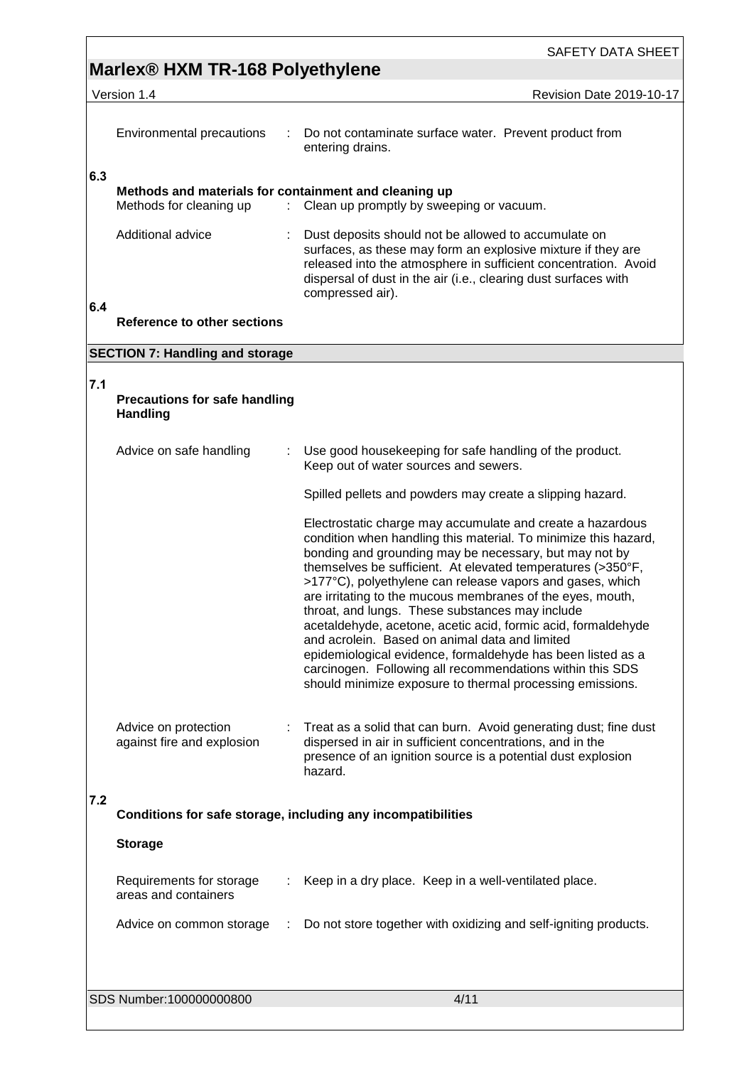# **Marlex® HXM TR-168 Polyethylene**

Version 1.4 Revision Date 2019-10-17

|     | Environmental precautions<br>÷                                                   | Do not contaminate surface water. Prevent product from<br>entering drains.                                                                                                                                                                                                     |
|-----|----------------------------------------------------------------------------------|--------------------------------------------------------------------------------------------------------------------------------------------------------------------------------------------------------------------------------------------------------------------------------|
| 6.3 | Methods and materials for containment and cleaning up<br>Methods for cleaning up | : Clean up promptly by sweeping or vacuum.                                                                                                                                                                                                                                     |
|     | Additional advice                                                                | Dust deposits should not be allowed to accumulate on<br>surfaces, as these may form an explosive mixture if they are<br>released into the atmosphere in sufficient concentration. Avoid<br>dispersal of dust in the air (i.e., clearing dust surfaces with<br>compressed air). |
| 6.4 | Reference to other sections                                                      |                                                                                                                                                                                                                                                                                |
|     | <b>SECTION 7: Handling and storage</b>                                           |                                                                                                                                                                                                                                                                                |
| 7.1 | <b>Precautions for safe handling</b><br><b>Handling</b>                          |                                                                                                                                                                                                                                                                                |
|     | Advice on safe handling                                                          | Use good housekeeping for safe handling of the product.<br>Keep out of water sources and sewers.                                                                                                                                                                               |

## **7.1**

|     | Precautions for safe handling<br><b>Handling</b>   |                                                                                                                                                                                                                                                                                                                                                                                                                                                                                                                                                                                                                                                                                                                                                  |
|-----|----------------------------------------------------|--------------------------------------------------------------------------------------------------------------------------------------------------------------------------------------------------------------------------------------------------------------------------------------------------------------------------------------------------------------------------------------------------------------------------------------------------------------------------------------------------------------------------------------------------------------------------------------------------------------------------------------------------------------------------------------------------------------------------------------------------|
|     | Advice on safe handling                            | Use good housekeeping for safe handling of the product.<br>Keep out of water sources and sewers.                                                                                                                                                                                                                                                                                                                                                                                                                                                                                                                                                                                                                                                 |
|     |                                                    | Spilled pellets and powders may create a slipping hazard.                                                                                                                                                                                                                                                                                                                                                                                                                                                                                                                                                                                                                                                                                        |
|     |                                                    | Electrostatic charge may accumulate and create a hazardous<br>condition when handling this material. To minimize this hazard,<br>bonding and grounding may be necessary, but may not by<br>themselves be sufficient. At elevated temperatures (>350°F,<br>>177°C), polyethylene can release vapors and gases, which<br>are irritating to the mucous membranes of the eyes, mouth,<br>throat, and lungs. These substances may include<br>acetaldehyde, acetone, acetic acid, formic acid, formaldehyde<br>and acrolein. Based on animal data and limited<br>epidemiological evidence, formaldehyde has been listed as a<br>carcinogen. Following all recommendations within this SDS<br>should minimize exposure to thermal processing emissions. |
|     | Advice on protection<br>against fire and explosion | Treat as a solid that can burn. Avoid generating dust; fine dust<br>dispersed in air in sufficient concentrations, and in the<br>presence of an ignition source is a potential dust explosion<br>hazard.                                                                                                                                                                                                                                                                                                                                                                                                                                                                                                                                         |
| 7.2 |                                                    | Conditions for safe storage, including any incompatibilities                                                                                                                                                                                                                                                                                                                                                                                                                                                                                                                                                                                                                                                                                     |
|     |                                                    |                                                                                                                                                                                                                                                                                                                                                                                                                                                                                                                                                                                                                                                                                                                                                  |
|     | <b>Storage</b>                                     |                                                                                                                                                                                                                                                                                                                                                                                                                                                                                                                                                                                                                                                                                                                                                  |
|     | Requirements for storage<br>areas and containers   | Keep in a dry place. Keep in a well-ventilated place.                                                                                                                                                                                                                                                                                                                                                                                                                                                                                                                                                                                                                                                                                            |
|     | Advice on common storage                           | Do not store together with oxidizing and self-igniting products.                                                                                                                                                                                                                                                                                                                                                                                                                                                                                                                                                                                                                                                                                 |
|     |                                                    |                                                                                                                                                                                                                                                                                                                                                                                                                                                                                                                                                                                                                                                                                                                                                  |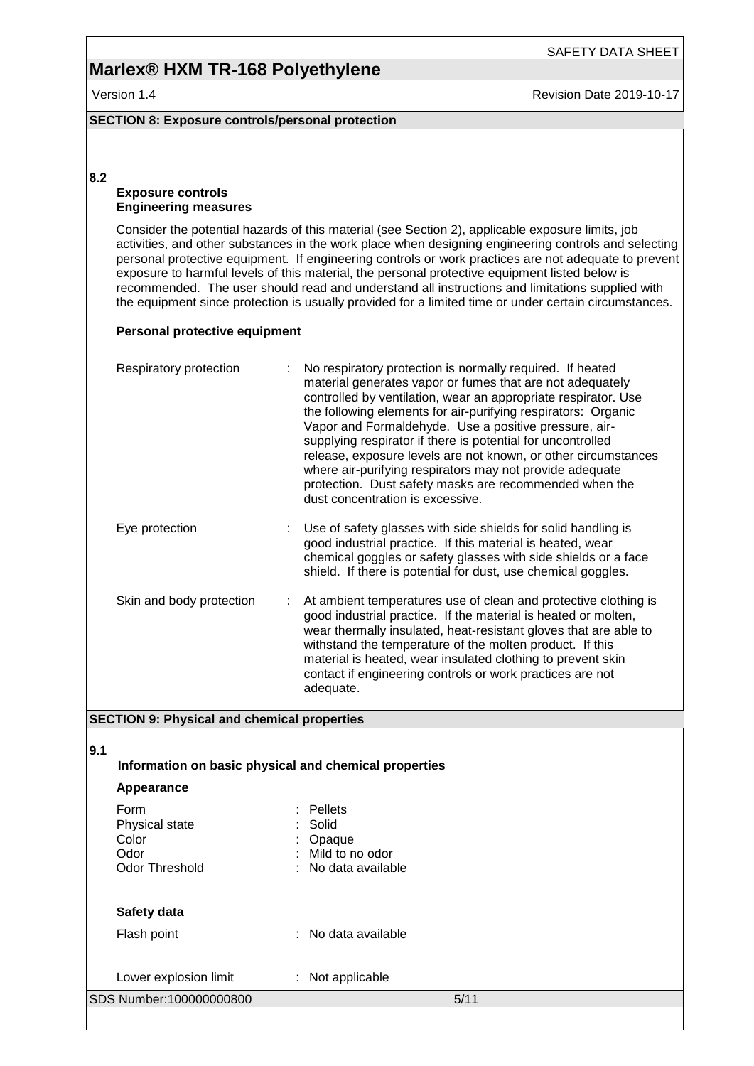## **Marlex® HXM TR-168 Polyethylene**

Version 1.4 **New Search 2019-10-17** Revision Date 2019-10-17

SAFETY DATA SHEET

### **SECTION 8: Exposure controls/personal protection**

### **8.2**

### **Exposure controls Engineering measures**

Consider the potential hazards of this material (see Section 2), applicable exposure limits, job activities, and other substances in the work place when designing engineering controls and selecting personal protective equipment. If engineering controls or work practices are not adequate to prevent exposure to harmful levels of this material, the personal protective equipment listed below is recommended. The user should read and understand all instructions and limitations supplied with the equipment since protection is usually provided for a limited time or under certain circumstances.

### **Personal protective equipment**

| Respiratory protection   | No respiratory protection is normally required. If heated<br>material generates vapor or fumes that are not adequately<br>controlled by ventilation, wear an appropriate respirator. Use<br>the following elements for air-purifying respirators: Organic<br>Vapor and Formaldehyde. Use a positive pressure, air-<br>supplying respirator if there is potential for uncontrolled<br>release, exposure levels are not known, or other circumstances<br>where air-purifying respirators may not provide adequate<br>protection. Dust safety masks are recommended when the<br>dust concentration is excessive. |
|--------------------------|---------------------------------------------------------------------------------------------------------------------------------------------------------------------------------------------------------------------------------------------------------------------------------------------------------------------------------------------------------------------------------------------------------------------------------------------------------------------------------------------------------------------------------------------------------------------------------------------------------------|
| Eye protection           | Use of safety glasses with side shields for solid handling is<br>good industrial practice. If this material is heated, wear<br>chemical goggles or safety glasses with side shields or a face<br>shield. If there is potential for dust, use chemical goggles.                                                                                                                                                                                                                                                                                                                                                |
| Skin and body protection | At ambient temperatures use of clean and protective clothing is<br>good industrial practice. If the material is heated or molten,<br>wear thermally insulated, heat-resistant gloves that are able to<br>withstand the temperature of the molten product. If this<br>material is heated, wear insulated clothing to prevent skin<br>contact if engineering controls or work practices are not<br>adequate.                                                                                                                                                                                                    |

### **SECTION 9: Physical and chemical properties**

### **9.1**

**Information on basic physical and chemical properties**

### **Appearance**

| Form<br>Physical state<br>Color<br>Odor<br><b>Odor Threshold</b> | $:$ Pellets<br>: Solid<br>Opaque<br>Mild to no odor<br>: No data available |
|------------------------------------------------------------------|----------------------------------------------------------------------------|
| Safety data<br>Flash point                                       | : No data available                                                        |
| Lower explosion limit                                            | Not applicable                                                             |

| SDS Number:100000000800 |  |
|-------------------------|--|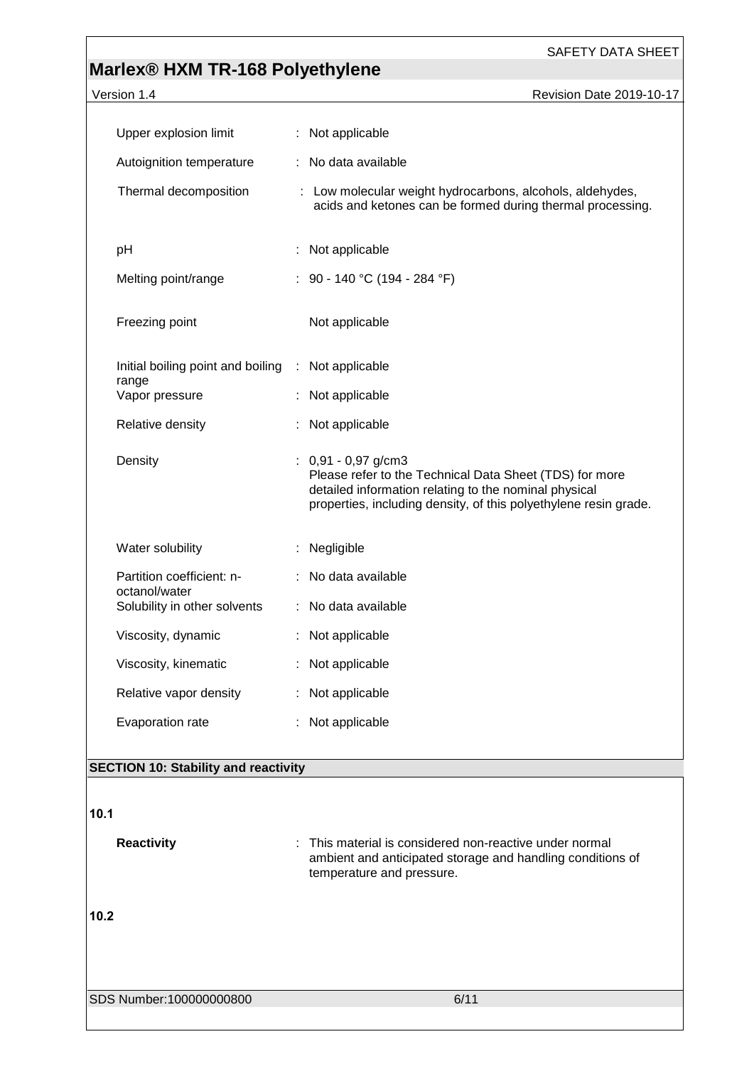# **Marlex® HXM TR-168 Polyethylene**

| Version 1.4                                 | Revision Date 2019-10-17                                                                                                                                                                                      |
|---------------------------------------------|---------------------------------------------------------------------------------------------------------------------------------------------------------------------------------------------------------------|
| Upper explosion limit                       |                                                                                                                                                                                                               |
|                                             | : Not applicable                                                                                                                                                                                              |
| Autoignition temperature                    | : No data available                                                                                                                                                                                           |
| Thermal decomposition                       | : Low molecular weight hydrocarbons, alcohols, aldehydes,<br>acids and ketones can be formed during thermal processing.                                                                                       |
| pH                                          | Not applicable                                                                                                                                                                                                |
| Melting point/range                         | : 90 - 140 °C (194 - 284 °F)                                                                                                                                                                                  |
| Freezing point                              | Not applicable                                                                                                                                                                                                |
| Initial boiling point and boiling<br>range  | : Not applicable                                                                                                                                                                                              |
| Vapor pressure                              | : Not applicable                                                                                                                                                                                              |
| Relative density                            | : Not applicable                                                                                                                                                                                              |
| Density                                     | $: 0,91 - 0,97$ g/cm3<br>Please refer to the Technical Data Sheet (TDS) for more<br>detailed information relating to the nominal physical<br>properties, including density, of this polyethylene resin grade. |
| Water solubility                            | : Negligible                                                                                                                                                                                                  |
| Partition coefficient: n-<br>octanol/water  | : No data available                                                                                                                                                                                           |
| Solubility in other solvents                | : No data available                                                                                                                                                                                           |
| Viscosity, dynamic                          | : Not applicable                                                                                                                                                                                              |
| Viscosity, kinematic                        | Not applicable                                                                                                                                                                                                |
| Relative vapor density                      | : Not applicable                                                                                                                                                                                              |
| Evaporation rate                            | : Not applicable                                                                                                                                                                                              |
| <b>SECTION 10: Stability and reactivity</b> |                                                                                                                                                                                                               |
| 10.1                                        |                                                                                                                                                                                                               |
| <b>Reactivity</b>                           | This material is considered non-reactive under normal                                                                                                                                                         |

temperature and pressure.

**10.2** 

SDS Number:100000000800 6/11

ambient and anticipated storage and handling conditions of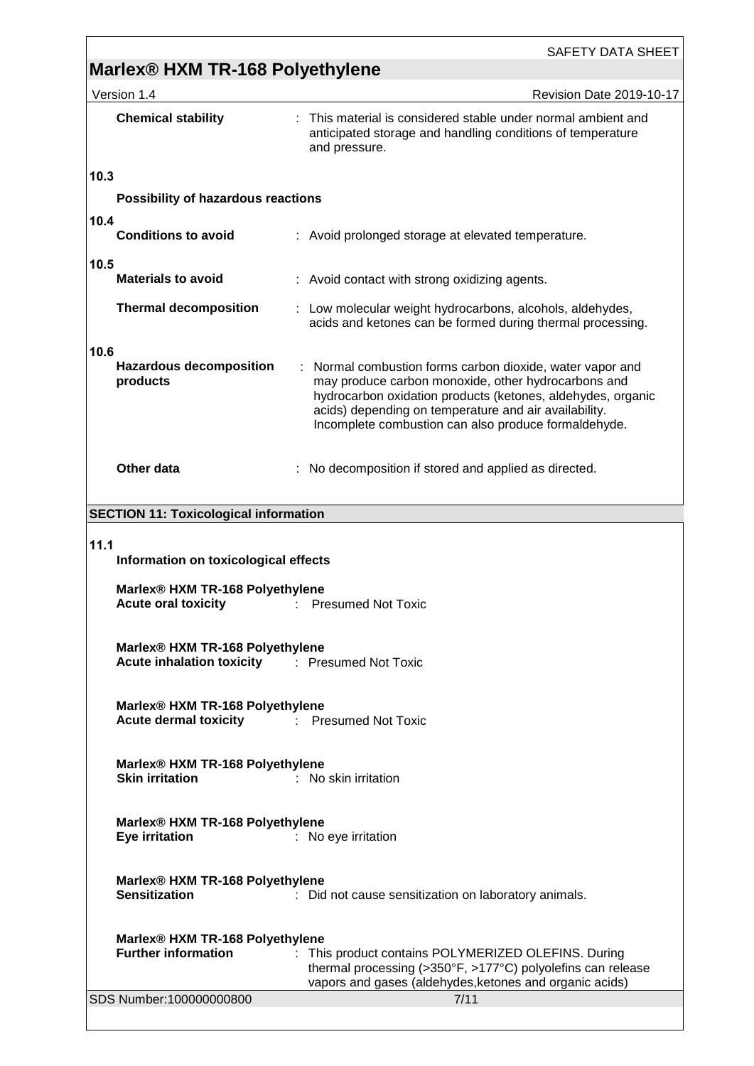| SAFETY DATA SHEET |  |
|-------------------|--|
|-------------------|--|

# **Marlex® HXM TR-168 Polyethylene**

|                                              | Version 1.4                                                                                                     | <b>Revision Date 2019-10-17</b>                                                                                                                                                                                                                                                                  |  |  |  |  |  |
|----------------------------------------------|-----------------------------------------------------------------------------------------------------------------|--------------------------------------------------------------------------------------------------------------------------------------------------------------------------------------------------------------------------------------------------------------------------------------------------|--|--|--|--|--|
|                                              | <b>Chemical stability</b>                                                                                       | : This material is considered stable under normal ambient and<br>anticipated storage and handling conditions of temperature<br>and pressure.                                                                                                                                                     |  |  |  |  |  |
| 10.3                                         |                                                                                                                 |                                                                                                                                                                                                                                                                                                  |  |  |  |  |  |
|                                              | Possibility of hazardous reactions                                                                              |                                                                                                                                                                                                                                                                                                  |  |  |  |  |  |
| 10.4                                         |                                                                                                                 |                                                                                                                                                                                                                                                                                                  |  |  |  |  |  |
|                                              | <b>Conditions to avoid</b>                                                                                      | : Avoid prolonged storage at elevated temperature.                                                                                                                                                                                                                                               |  |  |  |  |  |
| 10.5                                         | <b>Materials to avoid</b>                                                                                       | : Avoid contact with strong oxidizing agents.                                                                                                                                                                                                                                                    |  |  |  |  |  |
|                                              |                                                                                                                 |                                                                                                                                                                                                                                                                                                  |  |  |  |  |  |
|                                              | <b>Thermal decomposition</b>                                                                                    | : Low molecular weight hydrocarbons, alcohols, aldehydes,<br>acids and ketones can be formed during thermal processing.                                                                                                                                                                          |  |  |  |  |  |
| 10.6                                         | <b>Hazardous decomposition</b><br>products                                                                      | : Normal combustion forms carbon dioxide, water vapor and<br>may produce carbon monoxide, other hydrocarbons and<br>hydrocarbon oxidation products (ketones, aldehydes, organic<br>acids) depending on temperature and air availability.<br>Incomplete combustion can also produce formaldehyde. |  |  |  |  |  |
|                                              | Other data                                                                                                      | No decomposition if stored and applied as directed.                                                                                                                                                                                                                                              |  |  |  |  |  |
|                                              | <b>SECTION 11: Toxicological information</b>                                                                    |                                                                                                                                                                                                                                                                                                  |  |  |  |  |  |
| 11.1<br>Information on toxicological effects |                                                                                                                 |                                                                                                                                                                                                                                                                                                  |  |  |  |  |  |
|                                              | <b>Acute oral toxicity</b>                                                                                      | Marlex® HXM TR-168 Polyethylene<br><b>Presumed Not Toxic</b>                                                                                                                                                                                                                                     |  |  |  |  |  |
|                                              |                                                                                                                 | Marlex® HXM TR-168 Polyethylene<br><b>Acute inhalation toxicity Fig. 2.1 Presumed Not Toxic</b>                                                                                                                                                                                                  |  |  |  |  |  |
|                                              | Marlex® HXM TR-168 Polyethylene<br><b>Acute dermal toxicity Fig. 2.1 Fresumed Not Toxic</b>                     |                                                                                                                                                                                                                                                                                                  |  |  |  |  |  |
|                                              | Marlex® HXM TR-168 Polyethylene<br><b>Skin irritation</b><br>: No skin irritation                               |                                                                                                                                                                                                                                                                                                  |  |  |  |  |  |
|                                              | Marlex® HXM TR-168 Polyethylene<br><b>Eye irritation</b><br>: No eye irritation                                 |                                                                                                                                                                                                                                                                                                  |  |  |  |  |  |
|                                              | Marlex® HXM TR-168 Polyethylene<br><b>Sensitization</b><br>: Did not cause sensitization on laboratory animals. |                                                                                                                                                                                                                                                                                                  |  |  |  |  |  |
|                                              | Marlex® HXM TR-168 Polyethylene                                                                                 |                                                                                                                                                                                                                                                                                                  |  |  |  |  |  |
|                                              | <b>Further information</b>                                                                                      | : This product contains POLYMERIZED OLEFINS. During<br>thermal processing (>350°F, >177°C) polyolefins can release<br>vapors and gases (aldehydes, ketones and organic acids)                                                                                                                    |  |  |  |  |  |
|                                              | SDS Number:100000000800                                                                                         | 7/11                                                                                                                                                                                                                                                                                             |  |  |  |  |  |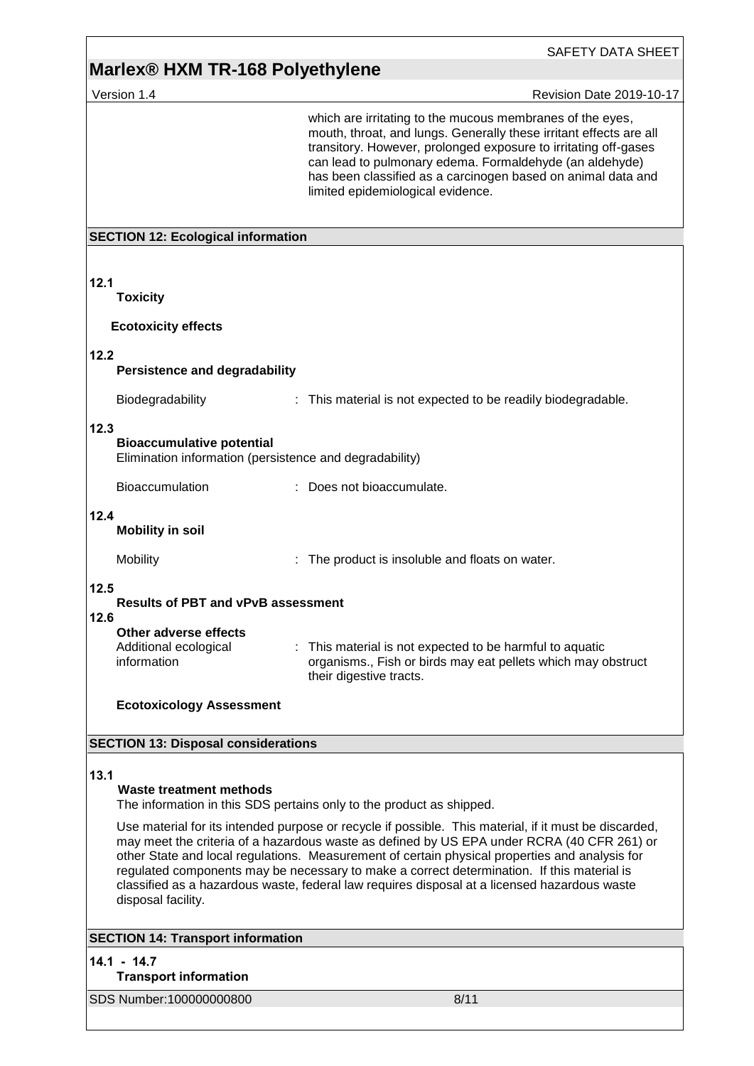## **Marlex® HXM TR-168 Polyethylene**

Version 1.4 Revision Date 2019-10-17 SDS Number:100000000800 8/11 which are irritating to the mucous membranes of the eyes, mouth, throat, and lungs. Generally these irritant effects are all transitory. However, prolonged exposure to irritating off-gases can lead to pulmonary edema. Formaldehyde (an aldehyde) has been classified as a carcinogen based on animal data and limited epidemiological evidence. **SECTION 12: Ecological information 12.1 Toxicity Ecotoxicity effects 12.2 Persistence and degradability** Biodegradability : This material is not expected to be readily biodegradable. **12.3 Bioaccumulative potential** Elimination information (persistence and degradability) Bioaccumulation : Does not bioaccumulate. **12.4 Mobility in soil** Mobility **EXECUTE:** The product is insoluble and floats on water. **12.5 Results of PBT and vPvB assessment 12.6 Other adverse effects** Additional ecological information : This material is not expected to be harmful to aquatic organisms., Fish or birds may eat pellets which may obstruct their digestive tracts. **Ecotoxicology Assessment SECTION 13: Disposal considerations 13.1 Waste treatment methods** The information in this SDS pertains only to the product as shipped. Use material for its intended purpose or recycle if possible. This material, if it must be discarded, may meet the criteria of a hazardous waste as defined by US EPA under RCRA (40 CFR 261) or other State and local regulations. Measurement of certain physical properties and analysis for regulated components may be necessary to make a correct determination. If this material is classified as a hazardous waste, federal law requires disposal at a licensed hazardous waste disposal facility. **SECTION 14: Transport information 14.1 - 14.7 Transport information**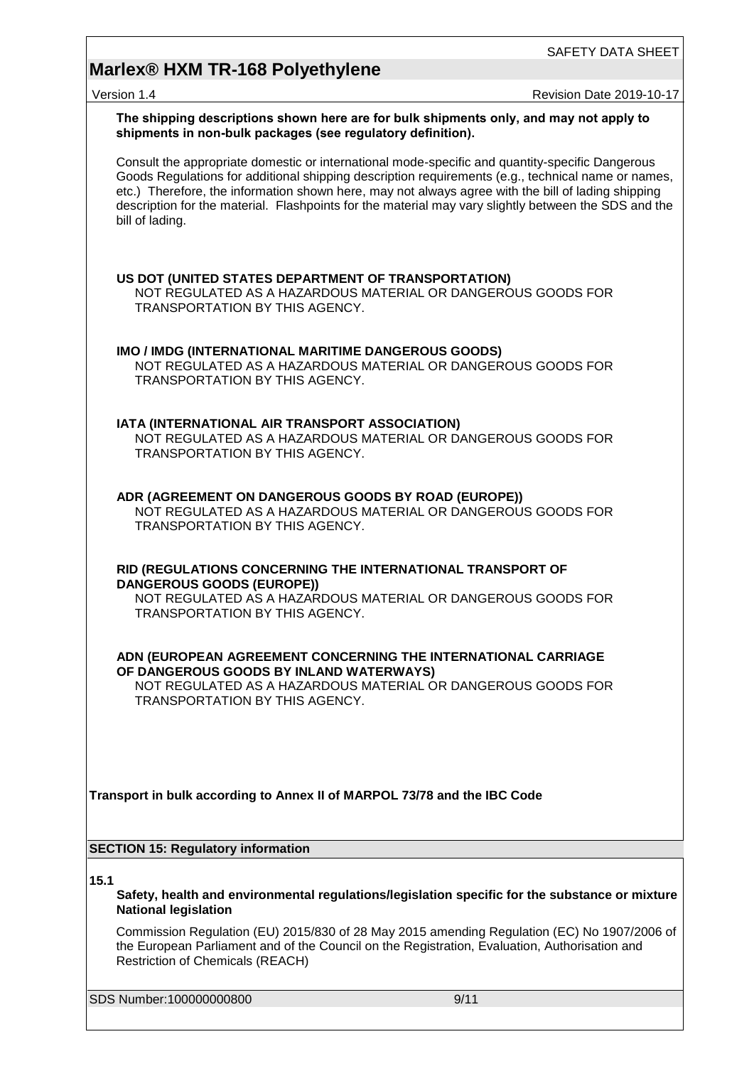# **Marlex® HXM TR-168 Polyethylene**

version 1.4 Revision Date 2019-10-17

|      | The shipping descriptions shown here are for bulk shipments only, and may not apply to<br>shipments in non-bulk packages (see regulatory definition).                                                                                                                                                                                                                                                                                  |  |
|------|----------------------------------------------------------------------------------------------------------------------------------------------------------------------------------------------------------------------------------------------------------------------------------------------------------------------------------------------------------------------------------------------------------------------------------------|--|
|      | Consult the appropriate domestic or international mode-specific and quantity-specific Dangerous<br>Goods Regulations for additional shipping description requirements (e.g., technical name or names,<br>etc.) Therefore, the information shown here, may not always agree with the bill of lading shipping<br>description for the material. Flashpoints for the material may vary slightly between the SDS and the<br>bill of lading. |  |
|      | US DOT (UNITED STATES DEPARTMENT OF TRANSPORTATION)<br>NOT REGULATED AS A HAZARDOUS MATERIAL OR DANGEROUS GOODS FOR<br>TRANSPORTATION BY THIS AGENCY.                                                                                                                                                                                                                                                                                  |  |
|      | IMO / IMDG (INTERNATIONAL MARITIME DANGEROUS GOODS)<br>NOT REGULATED AS A HAZARDOUS MATERIAL OR DANGEROUS GOODS FOR<br><b>TRANSPORTATION BY THIS AGENCY.</b>                                                                                                                                                                                                                                                                           |  |
|      | IATA (INTERNATIONAL AIR TRANSPORT ASSOCIATION)<br>NOT REGULATED AS A HAZARDOUS MATERIAL OR DANGEROUS GOODS FOR<br>TRANSPORTATION BY THIS AGENCY.                                                                                                                                                                                                                                                                                       |  |
|      | ADR (AGREEMENT ON DANGEROUS GOODS BY ROAD (EUROPE))<br>NOT REGULATED AS A HAZARDOUS MATERIAL OR DANGEROUS GOODS FOR<br>TRANSPORTATION BY THIS AGENCY.                                                                                                                                                                                                                                                                                  |  |
|      | RID (REGULATIONS CONCERNING THE INTERNATIONAL TRANSPORT OF<br><b>DANGEROUS GOODS (EUROPE))</b><br>NOT REGULATED AS A HAZARDOUS MATERIAL OR DANGEROUS GOODS FOR<br>TRANSPORTATION BY THIS AGENCY.                                                                                                                                                                                                                                       |  |
|      | ADN (EUROPEAN AGREEMENT CONCERNING THE INTERNATIONAL CARRIAGE<br>OF DANGEROUS GOODS BY INLAND WATERWAYS)<br>NOT REGULATED AS A HAZARDOUS MATERIAL OR DANGEROUS GOODS FOR<br>TRANSPORTATION BY THIS AGENCY.                                                                                                                                                                                                                             |  |
|      | Transport in bulk according to Annex II of MARPOL 73/78 and the IBC Code                                                                                                                                                                                                                                                                                                                                                               |  |
|      | <b>SECTION 15: Regulatory information</b>                                                                                                                                                                                                                                                                                                                                                                                              |  |
| 15.1 | Safety, health and environmental regulations/legislation specific for the substance or mixture<br><b>National legislation</b>                                                                                                                                                                                                                                                                                                          |  |
|      | Commission Regulation (EU) 2015/830 of 28 May 2015 amending Regulation (EC) No 1907/2006 of<br>the European Parliament and of the Council on the Registration, Evaluation, Authorisation and<br><b>Restriction of Chemicals (REACH)</b>                                                                                                                                                                                                |  |
|      | SDS Number:100000000800<br>9/11                                                                                                                                                                                                                                                                                                                                                                                                        |  |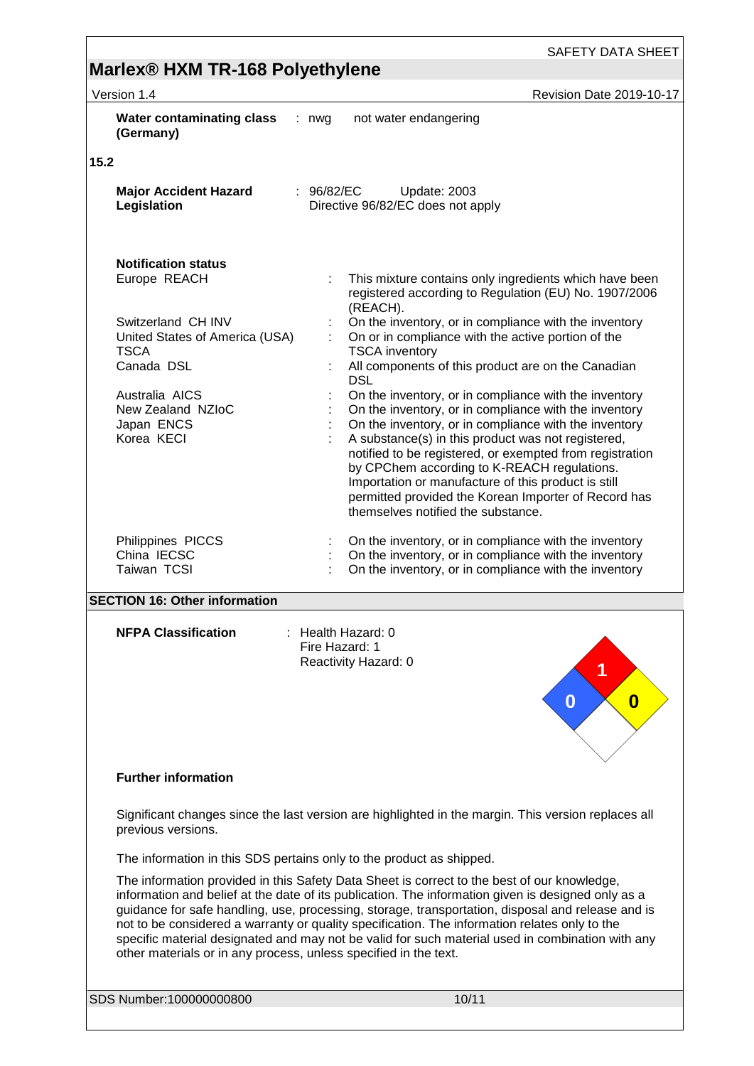## **Marlex® HXM TR-168 Polyethylene**  Version 1.4 Revision Date 2019-10-17 **Water contaminating class (Germany)** : nwg not water endangering **15.2 Major Accident Hazard Legislation** : 96/82/EC Update: 2003 Directive 96/82/EC does not apply **Notification status** : This mixture contains only ingredients which have been registered according to Regulation (EU) No. 1907/2006 (REACH). Switzerland CH INV : On the inventory, or in compliance with the inventory United States of America (USA) TSCA<br>Canada DSL : On or in compliance with the active portion of the TSCA inventory

Australia AICS : On the inventory, or in compliance with the inventory<br>New Zealand NZIoC : On the inventory, or in compliance with the inventory New Zealand NZIoC : On the inventory, or in compliance with the inventory<br>Japan ENCS : On the inventory, or in compliance with the inventory On the inventory, or in compliance with the inventory Korea KECI : A substance(s) in this product was not registered, notified to be registered, or exempted from registration by CPChem according to K-REACH regulations. Importation or manufacture of this product is still permitted provided the Korean Importer of Record has themselves notified the substance. Philippines PICCS : On the inventory, or in compliance with the inventory China IECSC **in the inventory**, or in compliance with the inventory Taiwan TCSI **Interpretent Constructs** : On the inventory, or in compliance with the inventory

**DSL** 

: All components of this product are on the Canadian

### **SECTION 16: Other information**

**NFPA Classification** : Health Hazard: 0

Fire Hazard: 1 Reactivity Hazard: 0



### **Further information**

Significant changes since the last version are highlighted in the margin. This version replaces all previous versions.

The information in this SDS pertains only to the product as shipped.

The information provided in this Safety Data Sheet is correct to the best of our knowledge, information and belief at the date of its publication. The information given is designed only as a guidance for safe handling, use, processing, storage, transportation, disposal and release and is not to be considered a warranty or quality specification. The information relates only to the specific material designated and may not be valid for such material used in combination with any other materials or in any process, unless specified in the text.

SDS Number:100000000800 100/11